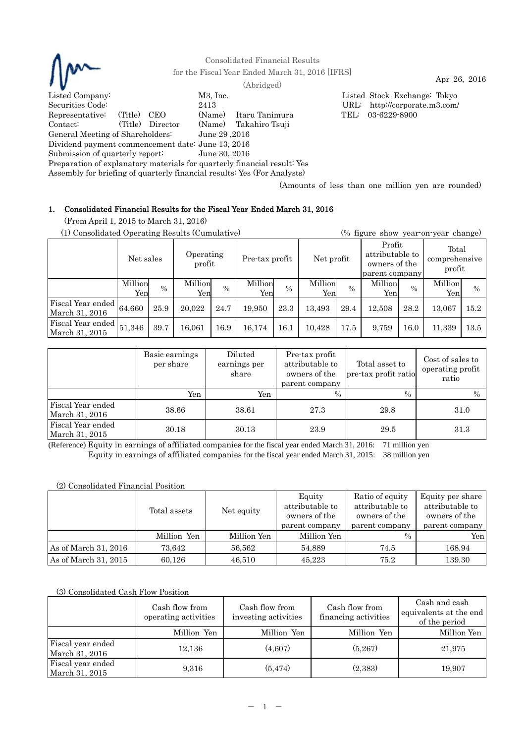

Consolidated Financial Results for the Fiscal Year Ended March 31, 2016 [IFRS] Apr 26, 2016 (Abridged)

Listed Company: M3, Inc. Listed Stock Exchange: Tokyo Securities Code: 2413 URL: http://corporate.m3.com/ Representative: (Title) CEO (Name) Itaru Tanimura TEL: 03-6229-8900 Contact: (Title) Director (Name) Takahiro Tsuji General Meeting of Shareholders: June 29 ,2016 Dividend payment commencement date: June 13, 2016 Submission of quarterly report: June 30, 2016

Assembly for briefing of quarterly financial results: Yes (For Analysts) (Amounts of less than one million yen are rounded)

Preparation of explanatory materials for quarterly financial result: Yes

# 1. Consolidated Financial Results for the Fiscal Year Ended March 31, 2016

(From April 1, 2015 to March 31, 2016)

|  | (1) Consolidated Operating Results (Cumulative) |  |
|--|-------------------------------------------------|--|
|  |                                                 |  |

| (1) Consolidated Operating Results (Cumulative) |                                  | (% figure show year-on-year change) |                |                |                |               |                |                                                              |                |                                  |                |      |
|-------------------------------------------------|----------------------------------|-------------------------------------|----------------|----------------|----------------|---------------|----------------|--------------------------------------------------------------|----------------|----------------------------------|----------------|------|
|                                                 | Operating<br>Net sales<br>profit |                                     |                | Pre-tax profit |                | Net profit    |                | Profit<br>attributable to<br>owners of the<br>parent company |                | Total<br>comprehensive<br>profit |                |      |
|                                                 | Million<br>Yen                   | $\frac{0}{0}$                       | Million<br>Yen | $\frac{0}{0}$  | Million<br>Yen | $\frac{0}{0}$ | Million<br>Yen | $\%$                                                         | Million<br>Yen | $\%$                             | Million<br>Yen | $\%$ |
| Fiscal Year ended<br>March 31, 2016             | 64,660                           | 25.9                                | 20.022         | 24.7           | 19.950         | 23.3          | 13,493         | 29.4                                                         | 12.508         | 28.2                             | 13,067         | 15.2 |
| Fiscal Year ended<br>March 31, 2015             | 51,346                           | 39.7                                | 16,061         | 16.9           | 16,174         | 16.1          | 10,428         | 17.5                                                         | 9,759          | 16.0                             | 11,339         | 13.5 |

|                                     | Basic earnings<br>per share | Diluted<br>earnings per<br>share | Pre-tax profit<br>attributable to<br>owners of the<br>parent company | Total asset to<br>pre-tax profit ratio | Cost of sales to<br>operating profit<br>ratio |
|-------------------------------------|-----------------------------|----------------------------------|----------------------------------------------------------------------|----------------------------------------|-----------------------------------------------|
|                                     | Yen                         | Yen                              | $\%$                                                                 | $\frac{0}{0}$                          | $\frac{0}{0}$                                 |
| Fiscal Year ended<br>March 31, 2016 | 38.66                       | 38.61                            | 27.3                                                                 | 29.8                                   | 31.0                                          |
| Fiscal Year ended<br>March 31, 2015 | 30.18                       | 30.13                            | 23.9                                                                 | 29.5                                   | 31.3                                          |

(Reference) Equity in earnings of affiliated companies for the fiscal year ended March 31, 2016: 71 million yen Equity in earnings of affiliated companies for the fiscal year ended March 31, 2015: 38 million yen

## (2) Consolidated Financial Position

|                      | Total assets | Net equity  | Equity<br>attributable to<br>owners of the<br>parent company | Ratio of equity<br>attributable to<br>owners of the<br>parent company | Equity per share<br>attributable to<br>owners of the<br>parent company |
|----------------------|--------------|-------------|--------------------------------------------------------------|-----------------------------------------------------------------------|------------------------------------------------------------------------|
|                      | Million Yen  | Million Yen | Million Yen                                                  | $\frac{0}{0}$                                                         | Yenl                                                                   |
| As of March 31, 2016 | 73.642       | 56.562      | 54.889                                                       | 74.5                                                                  | 168.94                                                                 |
| As of March 31, 2015 | 60.126       | 46.510      | 45.223                                                       | 75.2                                                                  | 139.30                                                                 |

## (3) Consolidated Cash Flow Position

|                                     | Cash flow from<br>operating activities | Cash flow from<br>investing activities | Cash flow from<br>financing activities | Cash and cash<br>equivalents at the end<br>of the period |
|-------------------------------------|----------------------------------------|----------------------------------------|----------------------------------------|----------------------------------------------------------|
|                                     | Million Yen                            | Million Yen                            | Million Yen                            | Million Yen                                              |
| Fiscal year ended<br>March 31, 2016 | 12,136                                 | (4,607)                                | (5,267)                                | 21,975                                                   |
| Fiscal year ended<br>March 31, 2015 | 9,316                                  | (5, 474)                               | (2,383)                                | 19,907                                                   |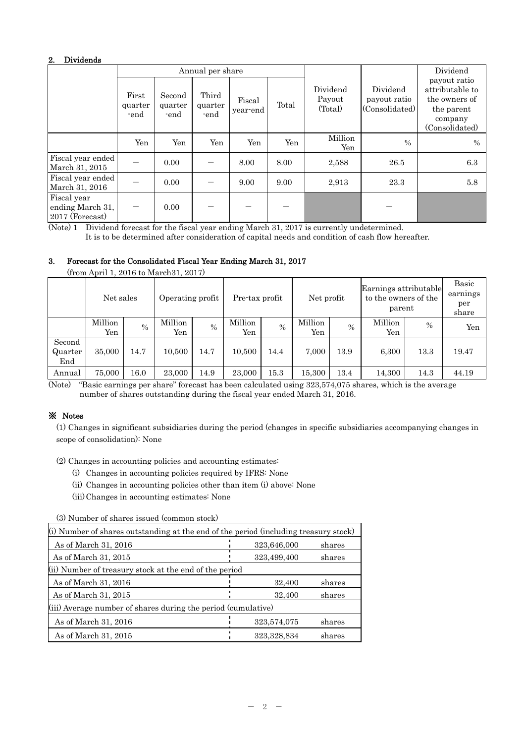## 2. Dividends

|                                                    |                          |                           | Annual per share         |                    |       |                               |                                            | Dividend                                                                                    |
|----------------------------------------------------|--------------------------|---------------------------|--------------------------|--------------------|-------|-------------------------------|--------------------------------------------|---------------------------------------------------------------------------------------------|
|                                                    | First<br>quarter<br>-end | Second<br>quarter<br>-end | Third<br>quarter<br>-end | Fiscal<br>year-end | Total | Dividend<br>Payout<br>(Total) | Dividend<br>payout ratio<br>(Consolidated) | payout ratio<br>attributable to<br>the owners of<br>the parent<br>company<br>(Consolidated) |
|                                                    | Yen                      | Yen                       | Yen                      | Yen                | Yen   | Million<br>Yen                | $\frac{0}{0}$                              | $\frac{0}{0}$                                                                               |
| Fiscal year ended<br>March 31, 2015                |                          | 0.00                      |                          | 8.00               | 8.00  | 2,588                         | 26.5                                       | 6.3                                                                                         |
| Fiscal year ended<br>March 31, 2016                |                          | 0.00                      |                          | 9.00               | 9.00  | 2,913                         | 23.3                                       | 5.8                                                                                         |
| Fiscal year<br>ending March 31,<br>2017 (Forecast) |                          | 0.00                      |                          |                    |       |                               |                                            |                                                                                             |

(Note) 1 Dividend forecast for the fiscal year ending March 31, 2017 is currently undetermined.

It is to be determined after consideration of capital needs and condition of cash flow hereafter.

# 3. Forecast for the Consolidated Fiscal Year Ending March 31, 2017

|                          | $\mu$ on $\mu$ and $\mu$ , $\mu$ and $\mu$ matches $\mu$ , $\mu$ |      |                  |               |                |      |                                                                       |               |                |                                   |       |
|--------------------------|------------------------------------------------------------------|------|------------------|---------------|----------------|------|-----------------------------------------------------------------------|---------------|----------------|-----------------------------------|-------|
|                          | Net sales                                                        |      | Operating profit |               | Pre-tax profit |      | Earnings attributable<br>to the owners of the<br>Net profit<br>parent |               |                | Basic<br>earnings<br>per<br>share |       |
|                          | Million<br>Yen                                                   | $\%$ | Million<br>Yen   | $\frac{0}{0}$ | Million<br>Yen | $\%$ | Million<br>Yen                                                        | $\frac{0}{0}$ | Million<br>Yen | $\frac{0}{0}$                     | Yen   |
| Second<br>Quarter<br>End | 35,000                                                           | 14.7 | 10.500           | 14.7          | 10,500         | 14.4 | 7.000                                                                 | 13.9          | 6,300          | 13.3                              | 19.47 |
| Annual                   | 75,000                                                           | 16.0 | 23,000           | 14.9          | 23,000         | 15.3 | 15,300                                                                | 13.4          | 14,300         | 14.3                              | 44.19 |

(from April 1, 2016 to March31, 2017)

(Note) "Basic earnings per share" forecast has been calculated using 323,574,075 shares, which is the average number of shares outstanding during the fiscal year ended March 31, 2016.

# ※ Notes

(1) Changes in significant subsidiaries during the period (changes in specific subsidiaries accompanying changes in scope of consolidation): None

(2) Changes in accounting policies and accounting estimates:

- (i) Changes in accounting policies required by IFRS: None
- (ii) Changes in accounting policies other than item (i) above: None

(iii) Changes in accounting estimates: None

(3) Number of shares issued (common stock)

| (i) Number of shares outstanding at the end of the period (including treasury stock) |             |        |  |  |  |  |  |
|--------------------------------------------------------------------------------------|-------------|--------|--|--|--|--|--|
| As of March 31, 2016                                                                 | 323,646,000 | shares |  |  |  |  |  |
| As of March 31, 2015                                                                 | 323,499,400 | shares |  |  |  |  |  |
| (ii) Number of treasury stock at the end of the period                               |             |        |  |  |  |  |  |
| As of March 31, 2016                                                                 | 32,400      | shares |  |  |  |  |  |
| As of March 31, 2015                                                                 | 32,400      | shares |  |  |  |  |  |
| (iii) Average number of shares during the period (cumulative)                        |             |        |  |  |  |  |  |
| As of March 31, 2016                                                                 | 323,574,075 | shares |  |  |  |  |  |
| As of March 31, 2015                                                                 | 323,328,834 | shares |  |  |  |  |  |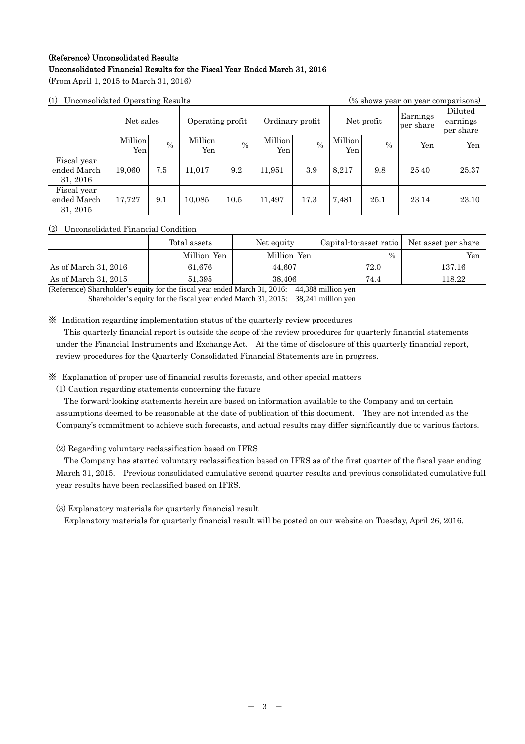# (Reference) Unconsolidated Results Unconsolidated Financial Results for the Fiscal Year Ended March 31, 2016

(From April 1, 2015 to March 31, 2016)

|  | (1) Unconsolidated Operating Results |  |  |
|--|--------------------------------------|--|--|
|--|--------------------------------------|--|--|

| (1)                                    | Unconsolidated Operating Results |      |                  |      |                 |               |                |            |                       | (% shows year on year comparisons) |
|----------------------------------------|----------------------------------|------|------------------|------|-----------------|---------------|----------------|------------|-----------------------|------------------------------------|
|                                        | Net sales                        |      | Operating profit |      | Ordinary profit |               |                | Net profit | Earnings<br>per share | Diluted<br>earnings<br>per share   |
|                                        | Million<br>Yen                   | $\%$ | Million<br>Yen   | $\%$ | Million<br>Yen  | $\frac{0}{0}$ | Million<br>Yen | $\%$       | Yen                   | Yen                                |
| Fiscal year<br>ended March<br>31, 2016 | 19,060                           | 7.5  | 11,017           | 9.2  | 11,951          | 3.9           | 8.217          | 9.8        | 25.40                 | 25.37                              |
| Fiscal year<br>ended March<br>31, 2015 | 17.727                           | 9.1  | 10,085           | 10.5 | 11.497          | 17.3          | 7,481          | 25.1       | 23.14                 | 23.10                              |

## (2) Unconsolidated Financial Condition

|                      | Total assets | Net equity  | Capital to asset ratio | Net asset per share |
|----------------------|--------------|-------------|------------------------|---------------------|
|                      | Million Yen  | Million Yen | $\%$                   | Yen                 |
| As of March 31, 2016 | 61.676       | 44.607      | 72.0                   | 137.16              |
| As of March 31, 2015 | 51,395       | 38,406      | 74.4                   | 118.22              |

(Reference) Shareholder's equity for the fiscal year ended March 31, 2016: 44,388 million yen Shareholder's equity for the fiscal year ended March 31, 2015: 38,241 million yen

※ Indication regarding implementation status of the quarterly review procedures

This quarterly financial report is outside the scope of the review procedures for quarterly financial statements under the Financial Instruments and Exchange Act. At the time of disclosure of this quarterly financial report, review procedures for the Quarterly Consolidated Financial Statements are in progress.

※ Explanation of proper use of financial results forecasts, and other special matters

(1) Caution regarding statements concerning the future

The forward-looking statements herein are based on information available to the Company and on certain assumptions deemed to be reasonable at the date of publication of this document. They are not intended as the Company's commitment to achieve such forecasts, and actual results may differ significantly due to various factors.

# (2) Regarding voluntary reclassification based on IFRS

The Company has started voluntary reclassification based on IFRS as of the first quarter of the fiscal year ending March 31, 2015. Previous consolidated cumulative second quarter results and previous consolidated cumulative full year results have been reclassified based on IFRS.

(3) Explanatory materials for quarterly financial result

Explanatory materials for quarterly financial result will be posted on our website on Tuesday, April 26, 2016.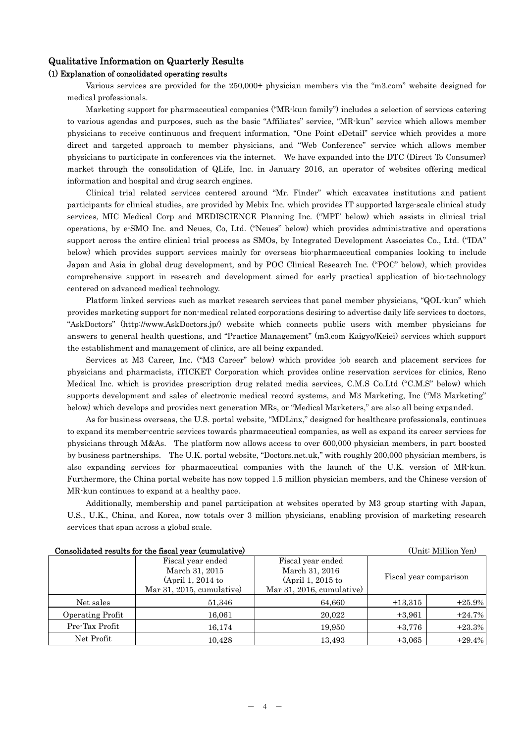## Qualitative Information on Quarterly Results

## (1) Explanation of consolidated operating results

Various services are provided for the 250,000+ physician members via the "m3.com" website designed for medical professionals.

Marketing support for pharmaceutical companies ("MR-kun family") includes a selection of services catering to various agendas and purposes, such as the basic "Affiliates" service, "MR-kun" service which allows member physicians to receive continuous and frequent information, "One Point eDetail" service which provides a more direct and targeted approach to member physicians, and "Web Conference" service which allows member physicians to participate in conferences via the internet. We have expanded into the DTC (Direct To Consumer) market through the consolidation of QLife, Inc. in January 2016, an operator of websites offering medical information and hospital and drug search engines.

Clinical trial related services centered around "Mr. Finder" which excavates institutions and patient participants for clinical studies, are provided by Mebix Inc. which provides IT supported large-scale clinical study services, MIC Medical Corp and MEDISCIENCE Planning Inc. ("MPI" below) which assists in clinical trial operations, by e-SMO Inc. and Neues, Co, Ltd. ("Neues" below) which provides administrative and operations support across the entire clinical trial process as SMOs, by Integrated Development Associates Co., Ltd. ("IDA" below) which provides support services mainly for overseas bio-pharmaceutical companies looking to include Japan and Asia in global drug development, and by POC Clinical Research Inc. ("POC" below), which provides comprehensive support in research and development aimed for early practical application of bio-technology centered on advanced medical technology.

Platform linked services such as market research services that panel member physicians, "QOL-kun" which provides marketing support for non-medical related corporations desiring to advertise daily life services to doctors, "AskDoctors" (http://www.AskDoctors.jp/) website which connects public users with member physicians for answers to general health questions, and "Practice Management" (m3.com Kaigyo/Keiei) services which support the establishment and management of clinics, are all being expanded.

Services at M3 Career, Inc. ("M3 Career" below) which provides job search and placement services for physicians and pharmacists, iTICKET Corporation which provides online reservation services for clinics, Reno Medical Inc. which is provides prescription drug related media services, C.M.S Co.Ltd ("C.M.S" below) which supports development and sales of electronic medical record systems, and M3 Marketing, Inc ("M3 Marketing" below) which develops and provides next generation MRs, or "Medical Marketers," are also all being expanded.

As for business overseas, the U.S. portal website, "MDLinx," designed for healthcare professionals, continues to expand its member-centric services towards pharmaceutical companies, as well as expand its career services for physicians through M&As. The platform now allows access to over 600,000 physician members, in part boosted by business partnerships. The U.K. portal website, "Doctors.net.uk," with roughly 200,000 physician members, is also expanding services for pharmaceutical companies with the launch of the U.K. version of MR-kun. Furthermore, the China portal website has now topped 1.5 million physician members, and the Chinese version of MR-kun continues to expand at a healthy pace.

Additionally, membership and panel participation at websites operated by M3 group starting with Japan, U.S., U.K., China, and Korea, now totals over 3 million physicians, enabling provision of marketing research services that span across a global scale.

| Consolidated results for the fiscal year (cumulative) |                                                                                      | (Unit: Million Yen)                                                                    |           |                        |
|-------------------------------------------------------|--------------------------------------------------------------------------------------|----------------------------------------------------------------------------------------|-----------|------------------------|
|                                                       | Fiscal year ended<br>March 31, 2015<br>(April 1, 2014 to<br>Mar 31, 2015, cumulative | Fiscal year ended<br>March 31, 2016<br>$(April 1, 2015$ to<br>Mar 31, 2016, cumulative |           | Fiscal year comparison |
| Net sales                                             | 51,346                                                                               | 64,660                                                                                 | $+13,315$ | $+25.9%$               |
| Operating Profit                                      | 16,061                                                                               | 20,022                                                                                 | $+3,961$  | $+24.7%$               |
| Pre-Tax Profit                                        | 16,174                                                                               | 19,950                                                                                 | $+3,776$  | $+23.3%$               |
| Net Profit                                            | 10.428                                                                               | 13,493                                                                                 | $+3,065$  | $+29.4%$               |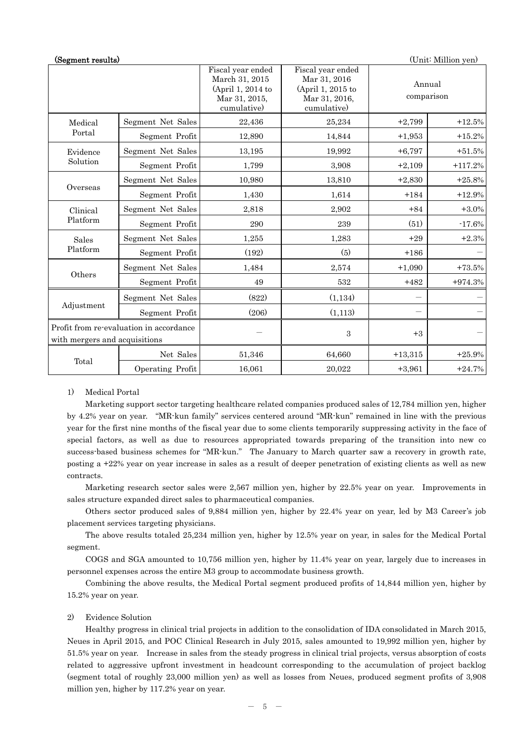| (Unit: Million yen)<br>(Segment results)                                 |                   |                                                                                          |                                                                                        |                      |           |
|--------------------------------------------------------------------------|-------------------|------------------------------------------------------------------------------------------|----------------------------------------------------------------------------------------|----------------------|-----------|
|                                                                          |                   | Fiscal year ended<br>March 31, 2015<br>(April 1, 2014 to<br>Mar 31, 2015,<br>cumulative) | Fiscal year ended<br>Mar 31, 2016<br>(April 1, 2015 to<br>Mar 31, 2016,<br>cumulative) | Annual<br>comparison |           |
| Medical<br>Portal                                                        | Segment Net Sales | 22,436                                                                                   | 25,234                                                                                 | $+2,799$             | $+12.5%$  |
|                                                                          | Segment Profit    | 12,890                                                                                   | 14,844                                                                                 | $+1,953$             | $+15.2%$  |
| Evidence<br>Solution                                                     | Segment Net Sales | 13,195                                                                                   | 19,992                                                                                 | $+6,797$             | $+51.5%$  |
|                                                                          | Segment Profit    | 1,799                                                                                    | 3,908                                                                                  | $+2,109$             | $+117.2%$ |
| Overseas                                                                 | Segment Net Sales | 10,980                                                                                   | 13,810                                                                                 | $+2,830$             | $+25.8%$  |
|                                                                          | Segment Profit    | 1,430                                                                                    | 1,614                                                                                  | $+184$               | $+12.9%$  |
| Clinical<br>Platform                                                     | Segment Net Sales | 2,818                                                                                    | 2,902                                                                                  | $+84$                | $+3.0%$   |
|                                                                          | Segment Profit    | 290                                                                                      | 239                                                                                    | (51)                 | $-17.6%$  |
| Sales<br>Platform                                                        | Segment Net Sales | 1,255                                                                                    | 1,283                                                                                  | $+29$                | $+2.3%$   |
|                                                                          | Segment Profit    | (192)                                                                                    | (5)                                                                                    | $+186$               |           |
| Others                                                                   | Segment Net Sales | 1,484                                                                                    | 2,574                                                                                  | $+1,090$             | $+73.5%$  |
|                                                                          | Segment Profit    | 49                                                                                       | 532                                                                                    | $+482$               | $+974.3%$ |
| Adjustment                                                               | Segment Net Sales | (822)                                                                                    | (1, 134)                                                                               |                      |           |
|                                                                          | Segment Profit    | (206)                                                                                    | (1, 113)                                                                               |                      |           |
| Profit from re-evaluation in accordance<br>with mergers and acquisitions |                   |                                                                                          | $\boldsymbol{3}$                                                                       | $+3$                 |           |
| Total                                                                    | Net Sales         | 51,346                                                                                   | 64,660                                                                                 | $+13,315$            | $+25.9%$  |
|                                                                          | Operating Profit  | 16,061                                                                                   | 20,022                                                                                 | $+3,961$             | $+24.7%$  |

## 1) Medical Portal

Marketing support sector targeting healthcare related companies produced sales of 12,784 million yen, higher by 4.2% year on year. "MR-kun family" services centered around "MR-kun" remained in line with the previous year for the first nine months of the fiscal year due to some clients temporarily suppressing activity in the face of special factors, as well as due to resources appropriated towards preparing of the transition into new co success-based business schemes for "MR-kun." The January to March quarter saw a recovery in growth rate, posting a +22% year on year increase in sales as a result of deeper penetration of existing clients as well as new contracts.

Marketing research sector sales were 2,567 million yen, higher by 22.5% year on year. Improvements in sales structure expanded direct sales to pharmaceutical companies.

Others sector produced sales of 9,884 million yen, higher by 22.4% year on year, led by M3 Career's job placement services targeting physicians.

The above results totaled 25,234 million yen, higher by 12.5% year on year, in sales for the Medical Portal segment.

 COGS and SGA amounted to 10,756 million yen, higher by 11.4% year on year, largely due to increases in personnel expenses across the entire M3 group to accommodate business growth.

 Combining the above results, the Medical Portal segment produced profits of 14,844 million yen, higher by 15.2% year on year.

#### 2) Evidence Solution

Healthy progress in clinical trial projects in addition to the consolidation of IDA consolidated in March 2015, Neues in April 2015, and POC Clinical Research in July 2015, sales amounted to 19,992 million yen, higher by 51.5% year on year. Increase in sales from the steady progress in clinical trial projects, versus absorption of costs related to aggressive upfront investment in headcount corresponding to the accumulation of project backlog (segment total of roughly 23,000 million yen) as well as losses from Neues, produced segment profits of 3,908 million yen, higher by 117.2% year on year.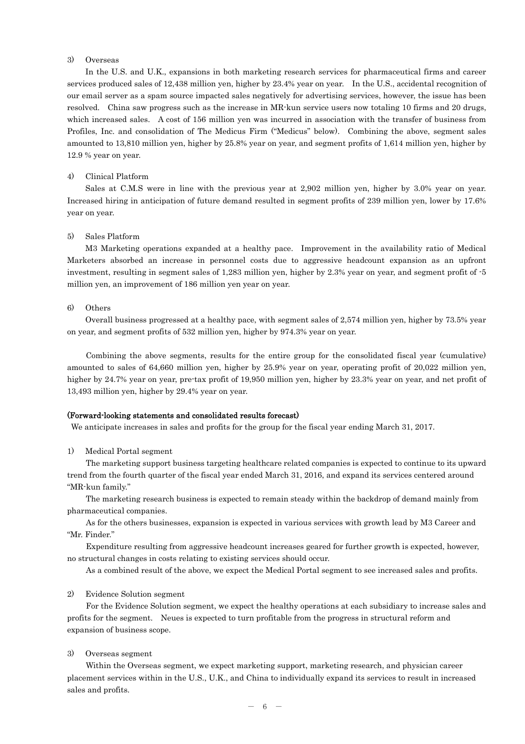## 3) Overseas

In the U.S. and U.K., expansions in both marketing research services for pharmaceutical firms and career services produced sales of 12,438 million yen, higher by 23.4% year on year. In the U.S., accidental recognition of our email server as a spam source impacted sales negatively for advertising services, however, the issue has been resolved. China saw progress such as the increase in MR-kun service users now totaling 10 firms and 20 drugs, which increased sales. A cost of 156 million yen was incurred in association with the transfer of business from Profiles, Inc. and consolidation of The Medicus Firm ("Medicus" below). Combining the above, segment sales amounted to 13,810 million yen, higher by 25.8% year on year, and segment profits of 1,614 million yen, higher by 12.9 % year on year.

#### 4) Clinical Platform

Sales at C.M.S were in line with the previous year at 2,902 million yen, higher by 3.0% year on year. Increased hiring in anticipation of future demand resulted in segment profits of 239 million yen, lower by 17.6% year on year.

#### 5) Sales Platform

M3 Marketing operations expanded at a healthy pace. Improvement in the availability ratio of Medical Marketers absorbed an increase in personnel costs due to aggressive headcount expansion as an upfront investment, resulting in segment sales of 1,283 million yen, higher by 2.3% year on year, and segment profit of -5 million yen, an improvement of 186 million yen year on year.

#### 6) Others

Overall business progressed at a healthy pace, with segment sales of 2,574 million yen, higher by 73.5% year on year, and segment profits of 532 million yen, higher by 974.3% year on year.

Combining the above segments, results for the entire group for the consolidated fiscal year (cumulative) amounted to sales of 64,660 million yen, higher by 25.9% year on year, operating profit of 20,022 million yen, higher by 24.7% year on year, pre-tax profit of 19,950 million yen, higher by 23.3% year on year, and net profit of 13,493 million yen, higher by 29.4% year on year.

#### (Forward-looking statements and consolidated results forecast)

We anticipate increases in sales and profits for the group for the fiscal year ending March 31, 2017.

#### 1) Medical Portal segment

The marketing support business targeting healthcare related companies is expected to continue to its upward trend from the fourth quarter of the fiscal year ended March 31, 2016, and expand its services centered around "MR-kun family."

The marketing research business is expected to remain steady within the backdrop of demand mainly from pharmaceutical companies.

As for the others businesses, expansion is expected in various services with growth lead by M3 Career and "Mr. Finder."

Expenditure resulting from aggressive headcount increases geared for further growth is expected, however, no structural changes in costs relating to existing services should occur.

As a combined result of the above, we expect the Medical Portal segment to see increased sales and profits.

#### 2) Evidence Solution segment

For the Evidence Solution segment, we expect the healthy operations at each subsidiary to increase sales and profits for the segment. Neues is expected to turn profitable from the progress in structural reform and expansion of business scope.

#### 3) Overseas segment

Within the Overseas segment, we expect marketing support, marketing research, and physician career placement services within in the U.S., U.K., and China to individually expand its services to result in increased sales and profits.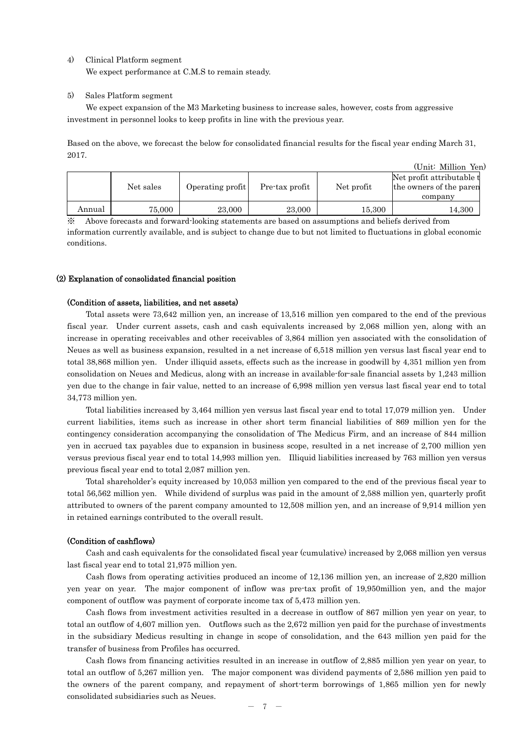4) Clinical Platform segment

We expect performance at C.M.S to remain steady.

## 5) Sales Platform segment

We expect expansion of the M3 Marketing business to increase sales, however, costs from aggressive investment in personnel looks to keep profits in line with the previous year.

Based on the above, we forecast the below for consolidated financial results for the fiscal year ending March 31, 2017.

|        |           |                  |                |            | (Unit: Million Yen)                                              |
|--------|-----------|------------------|----------------|------------|------------------------------------------------------------------|
|        | Net sales | Operating profit | Pre-tax profit | Net profit | Net profit attributable t<br>the owners of the parent<br>company |
| Annual | 75,000    | 23,000           | 23,000         | 15,300     | 14,300                                                           |

※ Above forecasts and forward-looking statements are based on assumptions and beliefs derived from information currently available, and is subject to change due to but not limited to fluctuations in global economic conditions.

## (2) Explanation of consolidated financial position

## (Condition of assets, liabilities, and net assets)

Total assets were 73,642 million yen, an increase of 13,516 million yen compared to the end of the previous fiscal year. Under current assets, cash and cash equivalents increased by 2,068 million yen, along with an increase in operating receivables and other receivables of 3,864 million yen associated with the consolidation of Neues as well as business expansion, resulted in a net increase of 6,518 million yen versus last fiscal year end to total 38,868 million yen. Under illiquid assets, effects such as the increase in goodwill by 4,351 million yen from consolidation on Neues and Medicus, along with an increase in available-for-sale financial assets by 1,243 million yen due to the change in fair value, netted to an increase of 6,998 million yen versus last fiscal year end to total 34,773 million yen.

Total liabilities increased by 3,464 million yen versus last fiscal year end to total 17,079 million yen. Under current liabilities, items such as increase in other short term financial liabilities of 869 million yen for the contingency consideration accompanying the consolidation of The Medicus Firm, and an increase of 844 million yen in accrued tax payables due to expansion in business scope, resulted in a net increase of 2,700 million yen versus previous fiscal year end to total 14,993 million yen. Illiquid liabilities increased by 763 million yen versus previous fiscal year end to total 2,087 million yen.

Total shareholder's equity increased by 10,053 million yen compared to the end of the previous fiscal year to total 56,562 million yen. While dividend of surplus was paid in the amount of 2,588 million yen, quarterly profit attributed to owners of the parent company amounted to 12,508 million yen, and an increase of 9,914 million yen in retained earnings contributed to the overall result.

## (Condition of cashflows)

Cash and cash equivalents for the consolidated fiscal year (cumulative) increased by 2,068 million yen versus last fiscal year end to total 21,975 million yen.

Cash flows from operating activities produced an income of 12,136 million yen, an increase of 2,820 million yen year on year. The major component of inflow was pre-tax profit of 19,950million yen, and the major component of outflow was payment of corporate income tax of 5,473 million yen.

Cash flows from investment activities resulted in a decrease in outflow of 867 million yen year on year, to total an outflow of 4,607 million yen. Outflows such as the 2,672 million yen paid for the purchase of investments in the subsidiary Medicus resulting in change in scope of consolidation, and the 643 million yen paid for the transfer of business from Profiles has occurred.

Cash flows from financing activities resulted in an increase in outflow of 2,885 million yen year on year, to total an outflow of 5,267 million yen. The major component was dividend payments of 2,586 million yen paid to the owners of the parent company, and repayment of short-term borrowings of 1,865 million yen for newly consolidated subsidiaries such as Neues.